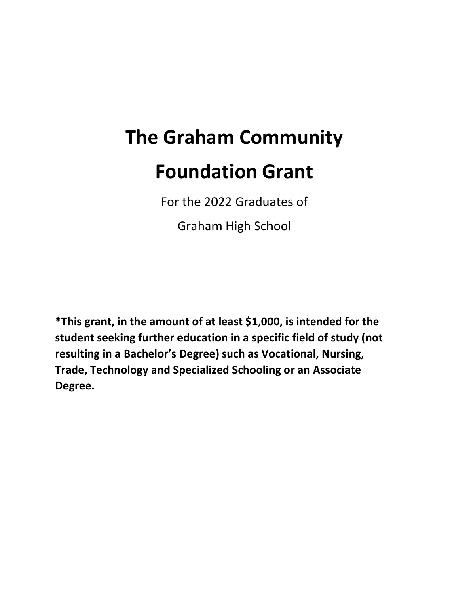# **The Graham Community Foundation Grant**

For the 2022 Graduates of

Graham High School

**\*This grant, in the amount of at least \$1,000, is intended for the student seeking further education in a specific field of study (not resulting in a Bachelor's Degree) such as Vocational, Nursing, Trade, Technology and Specialized Schooling or an Associate Degree.**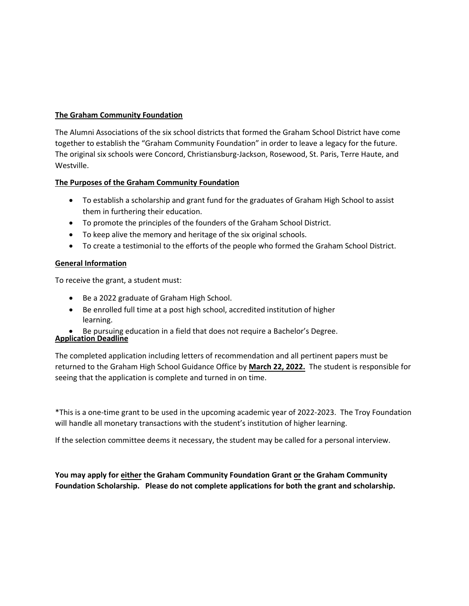#### **The Graham Community Foundation**

The Alumni Associations of the six school districts that formed the Graham School District have come together to establish the "Graham Community Foundation" in order to leave a legacy for the future. The original six schools were Concord, Christiansburg-Jackson, Rosewood, St. Paris, Terre Haute, and Westville.

#### **The Purposes of the Graham Community Foundation**

- To establish a scholarship and grant fund for the graduates of Graham High School to assist them in furthering their education.
- To promote the principles of the founders of the Graham School District.
- To keep alive the memory and heritage of the six original schools.
- To create a testimonial to the efforts of the people who formed the Graham School District.

### **General Information**

To receive the grant, a student must:

- Be a 2022 graduate of Graham High School.
- Be enrolled full time at a post high school, accredited institution of higher learning.
- Be pursuing education in a field that does not require a Bachelor's Degree.

### **Application Deadline**

The completed application including letters of recommendation and all pertinent papers must be returned to the Graham High School Guidance Office by **March 22, 2022.** The student is responsible for seeing that the application is complete and turned in on time.

\*This is a one-time grant to be used in the upcoming academic year of 2022-2023. The Troy Foundation will handle all monetary transactions with the student's institution of higher learning.

If the selection committee deems it necessary, the student may be called for a personal interview.

## **You may apply for either the Graham Community Foundation Grant or the Graham Community Foundation Scholarship. Please do not complete applications for both the grant and scholarship.**